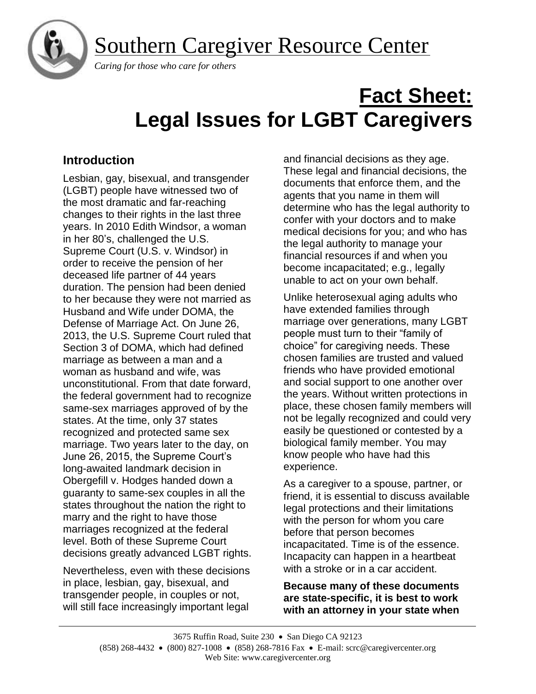Southern Caregiver Resource Center



 *Caring for those who care for others*

# **Fact Sheet: Legal Issues for LGBT Caregivers**

# **Introduction**

Lesbian, gay, bisexual, and transgender (LGBT) people have witnessed two of the most dramatic and far-reaching changes to their rights in the last three years. In 2010 Edith Windsor, a woman in her 80's, challenged the U.S. Supreme Court (U.S. v. Windsor) in order to receive the pension of her deceased life partner of 44 years duration. The pension had been denied to her because they were not married as Husband and Wife under DOMA, the Defense of Marriage Act. On June 26, 2013, the U.S. Supreme Court ruled that Section 3 of DOMA, which had defined marriage as between a man and a woman as husband and wife, was unconstitutional. From that date forward, the federal government had to recognize same-sex marriages approved of by the states. At the time, only 37 states recognized and protected same sex marriage. Two years later to the day, on June 26, 2015, the Supreme Court's long-awaited landmark decision in Obergefill v. Hodges handed down a guaranty to same-sex couples in all the states throughout the nation the right to marry and the right to have those marriages recognized at the federal level. Both of these Supreme Court decisions greatly advanced LGBT rights.

Nevertheless, even with these decisions in place, lesbian, gay, bisexual, and transgender people, in couples or not, will still face increasingly important legal

and financial decisions as they age. These legal and financial decisions, the documents that enforce them, and the agents that you name in them will determine who has the legal authority to confer with your doctors and to make medical decisions for you; and who has the legal authority to manage your financial resources if and when you become incapacitated; e.g., legally unable to act on your own behalf.

Unlike heterosexual aging adults who have extended families through marriage over generations, many LGBT people must turn to their "family of choice" for caregiving needs. These chosen families are trusted and valued friends who have provided emotional and social support to one another over the years. Without written protections in place, these chosen family members will not be legally recognized and could very easily be questioned or contested by a biological family member. You may know people who have had this experience.

As a caregiver to a spouse, partner, or friend, it is essential to discuss available legal protections and their limitations with the person for whom you care before that person becomes incapacitated. Time is of the essence. Incapacity can happen in a heartbeat with a stroke or in a car accident.

**Because many of these documents are state-specific, it is best to work with an attorney in your state when**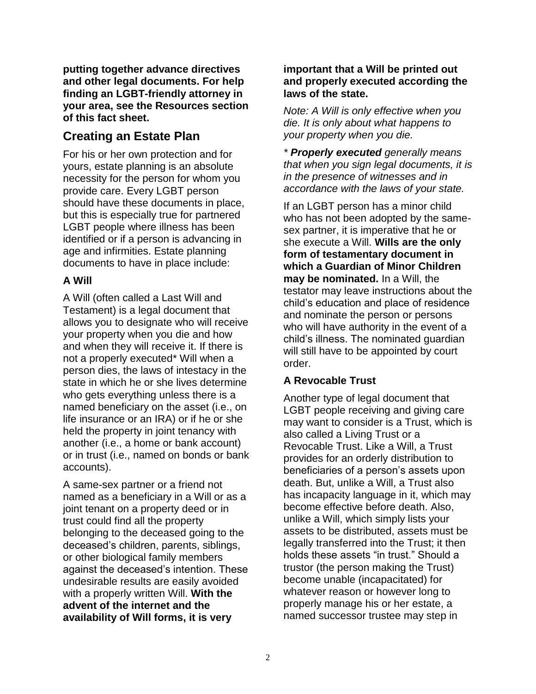**putting together advance directives and other legal documents. For help finding an LGBT-friendly attorney in your area, see the Resources section of this fact sheet.**

# **Creating an Estate Plan**

For his or her own protection and for yours, estate planning is an absolute necessity for the person for whom you provide care. Every LGBT person should have these documents in place, but this is especially true for partnered LGBT people where illness has been identified or if a person is advancing in age and infirmities. Estate planning documents to have in place include:

## **A Will**

A Will (often called a Last Will and Testament) is a legal document that allows you to designate who will receive your property when you die and how and when they will receive it. If there is not a properly executed\* Will when a person dies, the laws of intestacy in the state in which he or she lives determine who gets everything unless there is a named beneficiary on the asset (i.e., on life insurance or an IRA) or if he or she held the property in joint tenancy with another (i.e., a home or bank account) or in trust (i.e., named on bonds or bank accounts).

A same-sex partner or a friend not named as a beneficiary in a Will or as a joint tenant on a property deed or in trust could find all the property belonging to the deceased going to the deceased's children, parents, siblings, or other biological family members against the deceased's intention. These undesirable results are easily avoided with a properly written Will. **With the advent of the internet and the availability of Will forms, it is very** 

## **important that a Will be printed out and properly executed according the laws of the state.**

*Note: A Will is only effective when you die. It is only about what happens to your property when you die.*

*\* Properly executed generally means that when you sign legal documents, it is in the presence of witnesses and in accordance with the laws of your state.*

If an LGBT person has a minor child who has not been adopted by the samesex partner, it is imperative that he or she execute a Will. **Wills are the only form of testamentary document in which a Guardian of Minor Children may be nominated.** In a Will, the testator may leave instructions about the child's education and place of residence and nominate the person or persons who will have authority in the event of a child's illness. The nominated guardian will still have to be appointed by court order.

## **A Revocable Trust**

Another type of legal document that LGBT people receiving and giving care may want to consider is a Trust, which is also called a Living Trust or a Revocable Trust. Like a Will, a Trust provides for an orderly distribution to beneficiaries of a person's assets upon death. But, unlike a Will, a Trust also has incapacity language in it, which may become effective before death. Also, unlike a Will, which simply lists your assets to be distributed, assets must be legally transferred into the Trust; it then holds these assets "in trust." Should a trustor (the person making the Trust) become unable (incapacitated) for whatever reason or however long to properly manage his or her estate, a named successor trustee may step in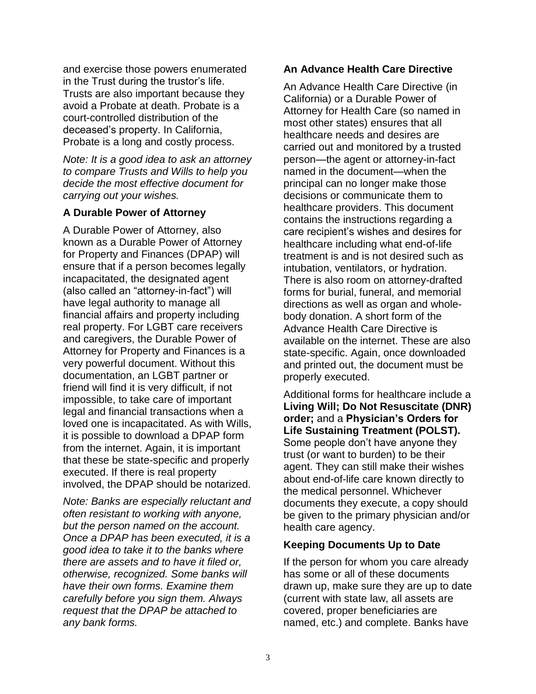and exercise those powers enumerated in the Trust during the trustor's life. Trusts are also important because they avoid a Probate at death. Probate is a court-controlled distribution of the deceased's property. In California, Probate is a long and costly process.

*Note: It is a good idea to ask an attorney to compare Trusts and Wills to help you decide the most effective document for carrying out your wishes.*

## **A Durable Power of Attorney**

A Durable Power of Attorney, also known as a Durable Power of Attorney for Property and Finances (DPAP) will ensure that if a person becomes legally incapacitated, the designated agent (also called an "attorney-in-fact") will have legal authority to manage all financial affairs and property including real property. For LGBT care receivers and caregivers, the Durable Power of Attorney for Property and Finances is a very powerful document. Without this documentation, an LGBT partner or friend will find it is very difficult, if not impossible, to take care of important legal and financial transactions when a loved one is incapacitated. As with Wills, it is possible to download a DPAP form from the internet. Again, it is important that these be state-specific and properly executed. If there is real property involved, the DPAP should be notarized.

*Note: Banks are especially reluctant and often resistant to working with anyone, but the person named on the account. Once a DPAP has been executed, it is a good idea to take it to the banks where there are assets and to have it filed or, otherwise, recognized. Some banks will have their own forms. Examine them carefully before you sign them. Always request that the DPAP be attached to any bank forms.*

#### **An Advance Health Care Directive**

An Advance Health Care Directive (in California) or a Durable Power of Attorney for Health Care (so named in most other states) ensures that all healthcare needs and desires are carried out and monitored by a trusted person—the agent or attorney-in-fact named in the document—when the principal can no longer make those decisions or communicate them to healthcare providers. This document contains the instructions regarding a care recipient's wishes and desires for healthcare including what end-of-life treatment is and is not desired such as intubation, ventilators, or hydration. There is also room on attorney-drafted forms for burial, funeral, and memorial directions as well as organ and wholebody donation. A short form of the Advance Health Care Directive is available on the internet. These are also state-specific. Again, once downloaded and printed out, the document must be properly executed.

Additional forms for healthcare include a **Living Will; Do Not Resuscitate (DNR) order;** and a **Physician's Orders for Life Sustaining Treatment (POLST).** Some people don't have anyone they trust (or want to burden) to be their agent. They can still make their wishes about end-of-life care known directly to the medical personnel. Whichever documents they execute, a copy should be given to the primary physician and/or health care agency.

## **Keeping Documents Up to Date**

If the person for whom you care already has some or all of these documents drawn up, make sure they are up to date (current with state law, all assets are covered, proper beneficiaries are named, etc.) and complete. Banks have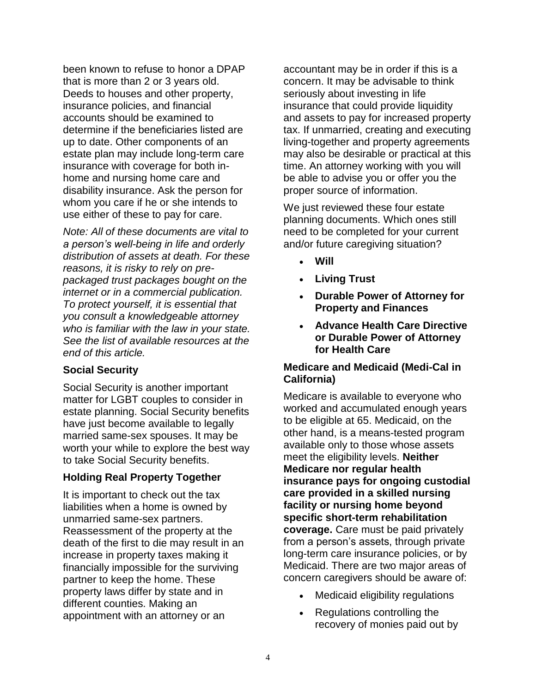been known to refuse to honor a DPAP that is more than 2 or 3 years old. Deeds to houses and other property, insurance policies, and financial accounts should be examined to determine if the beneficiaries listed are up to date. Other components of an estate plan may include long-term care insurance with coverage for both inhome and nursing home care and disability insurance. Ask the person for whom you care if he or she intends to use either of these to pay for care.

*Note: All of these documents are vital to a person's well-being in life and orderly distribution of assets at death. For these reasons, it is risky to rely on prepackaged trust packages bought on the internet or in a commercial publication. To protect yourself, it is essential that you consult a knowledgeable attorney who is familiar with the law in your state. See the list of available resources at the end of this article.*

## **Social Security**

Social Security is another important matter for LGBT couples to consider in estate planning. Social Security benefits have just become available to legally married same-sex spouses. It may be worth your while to explore the best way to take Social Security benefits.

## **Holding Real Property Together**

It is important to check out the tax liabilities when a home is owned by unmarried same-sex partners. Reassessment of the property at the death of the first to die may result in an increase in property taxes making it financially impossible for the surviving partner to keep the home. These property laws differ by state and in different counties. Making an appointment with an attorney or an

accountant may be in order if this is a concern. It may be advisable to think seriously about investing in life insurance that could provide liquidity and assets to pay for increased property tax. If unmarried, creating and executing living-together and property agreements may also be desirable or practical at this time. An attorney working with you will be able to advise you or offer you the proper source of information.

We just reviewed these four estate planning documents. Which ones still need to be completed for your current and/or future caregiving situation?

- **Will**
- **Living Trust**
- **Durable Power of Attorney for Property and Finances**
- **Advance Health Care Directive or Durable Power of Attorney for Health Care**

## **Medicare and Medicaid (Medi-Cal in California)**

Medicare is available to everyone who worked and accumulated enough years to be eligible at 65. Medicaid, on the other hand, is a means-tested program available only to those whose assets meet the eligibility levels. **Neither Medicare nor regular health insurance pays for ongoing custodial care provided in a skilled nursing facility or nursing home beyond specific short-term rehabilitation coverage.** Care must be paid privately from a person's assets, through private long-term care insurance policies, or by Medicaid. There are two major areas of concern caregivers should be aware of:

- Medicaid eligibility regulations
- Regulations controlling the recovery of monies paid out by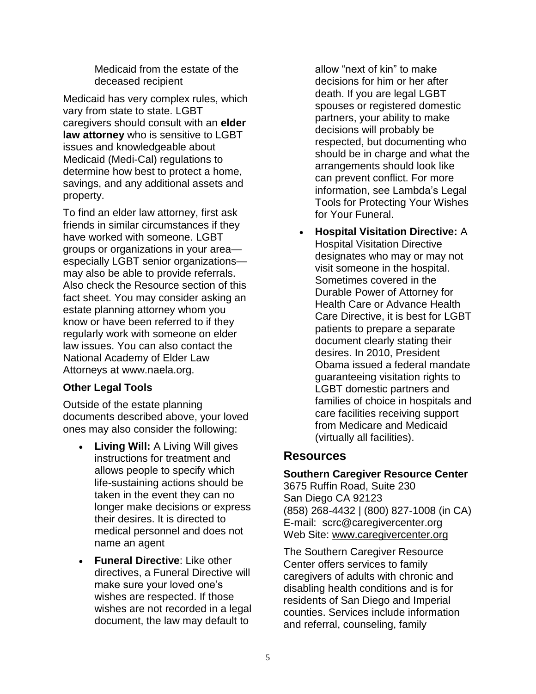Medicaid from the estate of the deceased recipient

Medicaid has very complex rules, which vary from state to state. LGBT caregivers should consult with an **elder law attorney** who is sensitive to LGBT issues and knowledgeable about Medicaid (Medi-Cal) regulations to determine how best to protect a home, savings, and any additional assets and property.

To find an elder law attorney, first ask friends in similar circumstances if they have worked with someone. LGBT groups or organizations in your area especially LGBT senior organizations may also be able to provide referrals. Also check the Resource section of this fact sheet. You may consider asking an estate planning attorney whom you know or have been referred to if they regularly work with someone on elder law issues. You can also contact the National Academy of Elder Law Attorneys at [www.naela.org.](http://www.naela.org/)

## **Other Legal Tools**

Outside of the estate planning documents described above, your loved ones may also consider the following:

- **Living Will:** A Living Will gives instructions for treatment and allows people to specify which life-sustaining actions should be taken in the event they can no longer make decisions or express their desires. It is directed to medical personnel and does not name an agent
- **Funeral Directive**: Like other directives, a Funeral Directive will make sure your loved one's wishes are respected. If those wishes are not recorded in a legal document, the law may default to

allow "next of kin" to make decisions for him or her after death. If you are legal LGBT spouses or registered domestic partners, your ability to make decisions will probably be respected, but documenting who should be in charge and what the arrangements should look like can prevent conflict. For more information, see Lambda's Legal Tools for Protecting Your Wishes for Your Funeral.

• **Hospital Visitation Directive:** A Hospital Visitation Directive designates who may or may not visit someone in the hospital. Sometimes covered in the Durable Power of Attorney for Health Care or Advance Health Care Directive, it is best for LGBT patients to prepare a separate document clearly stating their desires. In 2010, President Obama issued a federal mandate guaranteeing visitation rights to LGBT domestic partners and families of choice in hospitals and care facilities receiving support from Medicare and Medicaid (virtually all facilities).

## **Resources**

## **Southern Caregiver Resource Center**

3675 Ruffin Road, Suite 230 San Diego CA 92123 (858) 268-4432 | (800) 827-1008 (in CA) E-mail: scrc@caregivercenter.org Web Site: [www.caregivercenter.org](http://www.caregivercenter.org/)

The Southern Caregiver Resource Center offers services to family caregivers of adults with chronic and disabling health conditions and is for residents of San Diego and Imperial counties. Services include information and referral, counseling, family